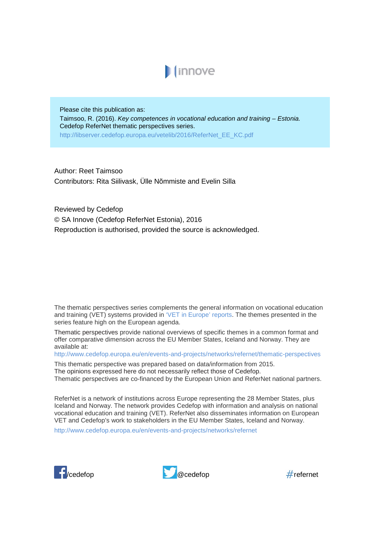

Please cite this publication as: Taimsoo, R. (2016). *Key competences in vocational education and training – Estonia.*  Cedefop ReferNet thematic perspectives series. http://libserver.cedefop.europa.eu/vetelib/2016/ReferNet\_EE\_KC.pdf

Author: Reet Taimsoo Contributors: Rita Siilivask, Ülle Nõmmiste and Evelin Silla

Reviewed by Cedefop © SA Innove (Cedefop ReferNet Estonia), 2016 Reproduction is authorised, provided the source is acknowledged.

The thematic perspectives series complements the general information on vocational education and training (VET) systems provided in ['VET in Europe' reports.](http://www.cedefop.europa.eu/en/publications-and-resources/country-reports/vet-in-europe-country-reports) The themes presented in the series feature high on the European agenda.

Thematic perspectives provide national overviews of specific themes in a common format and offer comparative dimension across the EU Member States, Iceland and Norway. They are available at:

<http://www.cedefop.europa.eu/en/events-and-projects/networks/refernet/thematic-perspectives>

This thematic perspective was prepared based on data/information from 2015.

The opinions expressed here do not necessarily reflect those of Cedefop.

Thematic perspectives are co-financed by the European Union and ReferNet national partners.

ReferNet is a network of institutions across Europe representing the 28 Member States, plus Iceland and Norway. The network provides Cedefop with information and analysis on national vocational education and training (VET). ReferNet also disseminates information on European VET and Cedefop's work to stakeholders in the EU Member States, Iceland and Norway.

<http://www.cedefop.europa.eu/en/events-and-projects/networks/refernet>





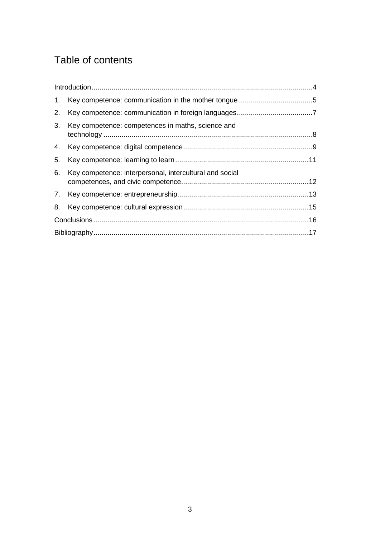# Table of contents

| 2. |                                                         |  |
|----|---------------------------------------------------------|--|
| 3. | Key competence: competences in maths, science and       |  |
|    |                                                         |  |
| 5. |                                                         |  |
| 6. | Key competence: interpersonal, intercultural and social |  |
|    |                                                         |  |
| 8. |                                                         |  |
|    |                                                         |  |
|    |                                                         |  |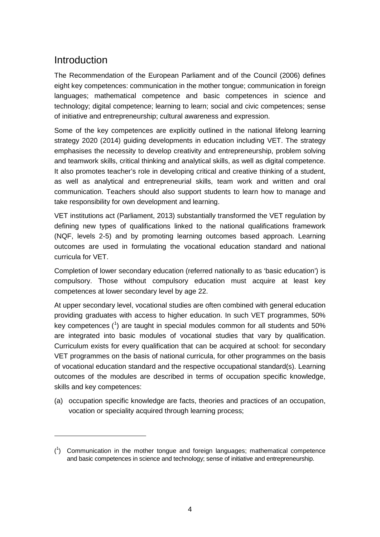### <span id="page-2-0"></span>Introduction

-

The Recommendation of the European Parliament and of the Council (2006) defines eight key competences: communication in the mother tongue; communication in foreign languages; mathematical competence and basic competences in science and technology; digital competence; learning to learn; social and civic competences; sense of initiative and entrepreneurship; cultural awareness and expression.

Some of the key competences are explicitly outlined in the national lifelong learning strategy 2020 (2014) guiding developments in education including VET. The strategy emphasises the necessity to develop creativity and entrepreneurship, problem solving and teamwork skills, critical thinking and analytical skills, as well as digital competence. It also promotes teacher's role in developing critical and creative thinking of a student, as well as analytical and entrepreneurial skills, team work and written and oral communication. Teachers should also support students to learn how to manage and take responsibility for own development and learning.

VET institutions act (Parliament, 2013) substantially transformed the VET regulation by defining new types of qualifications linked to the national qualifications framework (NQF, levels 2-5) and by promoting learning outcomes based approach. Learning outcomes are used in formulating the vocational education standard and national curricula for VET.

Completion of lower secondary education (referred nationally to as 'basic education') is compulsory. Those without compulsory education must acquire at least key competences at lower secondary level by age 22.

At upper secondary level, vocational studies are often combined with general education providing graduates with access to higher education. In such VET programmes, 50% key competences  $(1)$  $(1)$  $(1)$  are taught in special modules common for all students and 50% are integrated into basic modules of vocational studies that vary by qualification. Curriculum exists for every qualification that can be acquired at school: for secondary VET programmes on the basis of national curricula, for other programmes on the basis of vocational education standard and the respective occupational standard(s). Learning outcomes of the modules are described in terms of occupation specific knowledge, skills and key competences:

(a) occupation specific knowledge are facts, theories and practices of an occupation, vocation or speciality acquired through learning process;

<span id="page-2-1"></span><sup>(</sup> 1 ) Communication in the mother tongue and foreign languages; mathematical competence and basic competences in science and technology; sense of initiative and entrepreneurship.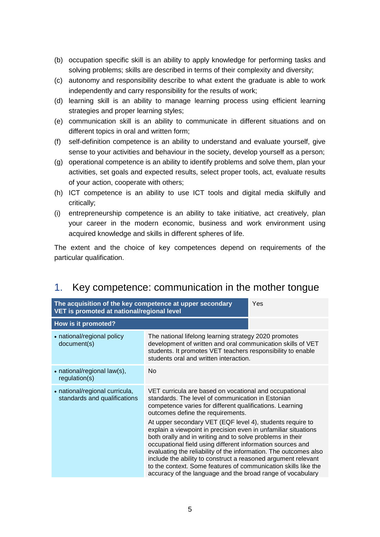- (b) occupation specific skill is an ability to apply knowledge for performing tasks and solving problems; skills are described in terms of their complexity and diversity;
- (c) autonomy and responsibility describe to what extent the graduate is able to work independently and carry responsibility for the results of work;
- (d) learning skill is an ability to manage learning process using efficient learning strategies and proper learning styles;
- (e) communication skill is an ability to communicate in different situations and on different topics in oral and written form;
- (f) self-definition competence is an ability to understand and evaluate yourself, give sense to your activities and behaviour in the society, develop yourself as a person;
- (g) operational competence is an ability to identify problems and solve them, plan your activities, set goals and expected results, select proper tools, act, evaluate results of your action, cooperate with others;
- (h) ICT competence is an ability to use ICT tools and digital media skilfully and critically;
- (i) entrepreneurship competence is an ability to take initiative, act creatively, plan your career in the modern economic, business and work environment using acquired knowledge and skills in different spheres of life.

The extent and the choice of key competences depend on requirements of the particular qualification.

| The acquisition of the key competence at upper secondary<br>VET is promoted at national/regional level |                                                                                                                                                                                                                                                                                                                                                                                                                                                                                                                             | Yes |
|--------------------------------------------------------------------------------------------------------|-----------------------------------------------------------------------------------------------------------------------------------------------------------------------------------------------------------------------------------------------------------------------------------------------------------------------------------------------------------------------------------------------------------------------------------------------------------------------------------------------------------------------------|-----|
| How is it promoted?                                                                                    |                                                                                                                                                                                                                                                                                                                                                                                                                                                                                                                             |     |
| • national/regional policy<br>document(s)                                                              | The national lifelong learning strategy 2020 promotes<br>development of written and oral communication skills of VET<br>students. It promotes VET teachers responsibility to enable<br>students oral and written interaction.                                                                                                                                                                                                                                                                                               |     |
| • national/regional law(s),<br>regulation(s)                                                           | No                                                                                                                                                                                                                                                                                                                                                                                                                                                                                                                          |     |
| • national/regional curricula,<br>standards and qualifications                                         | VET curricula are based on vocational and occupational<br>standards. The level of communication in Estonian<br>competence varies for different qualifications. Learning<br>outcomes define the requirements.                                                                                                                                                                                                                                                                                                                |     |
|                                                                                                        | At upper secondary VET (EQF level 4), students require to<br>explain a viewpoint in precision even in unfamiliar situations<br>both orally and in writing and to solve problems in their<br>occupational field using different information sources and<br>evaluating the reliability of the information. The outcomes also<br>include the ability to construct a reasoned argument relevant<br>to the context. Some features of communication skills like the<br>accuracy of the language and the broad range of vocabulary |     |

## <span id="page-3-0"></span>1. Key competence: communication in the mother tongue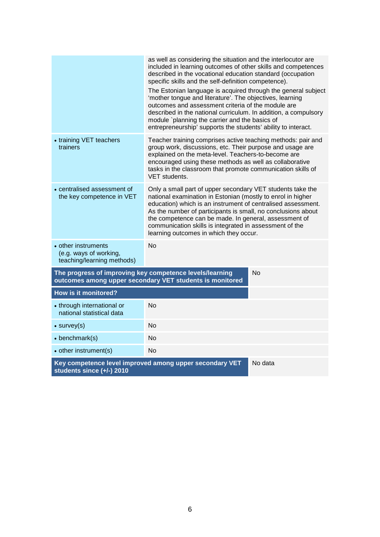<span id="page-4-0"></span>

|                                                                                      | as well as considering the situation and the interlocutor are<br>included in learning outcomes of other skills and competences<br>described in the vocational education standard (occupation<br>specific skills and the self-definition competence).<br>The Estonian language is acquired through the general subject<br>'mother tongue and literature'. The objectives, learning<br>outcomes and assessment criteria of the module are<br>described in the national curriculum. In addition, a compulsory<br>module `planning the carrier and the basics of<br>entrepreneurship' supports the students' ability to interact. |    |
|--------------------------------------------------------------------------------------|-------------------------------------------------------------------------------------------------------------------------------------------------------------------------------------------------------------------------------------------------------------------------------------------------------------------------------------------------------------------------------------------------------------------------------------------------------------------------------------------------------------------------------------------------------------------------------------------------------------------------------|----|
| • training VET teachers<br>trainers                                                  | Teacher training comprises active teaching methods: pair and<br>group work, discussions, etc. Their purpose and usage are<br>explained on the meta-level. Teachers-to-become are<br>encouraged using these methods as well as collaborative<br>tasks in the classroom that promote communication skills of<br>VET students.                                                                                                                                                                                                                                                                                                   |    |
| • centralised assessment of<br>the key competence in VET                             | Only a small part of upper secondary VET students take the<br>national examination in Estonian (mostly to enrol in higher<br>education) which is an instrument of centralised assessment.<br>As the number of participants is small, no conclusions about<br>the competence can be made. In general, assessment of<br>communication skills is integrated in assessment of the<br>learning outcomes in which they occur.                                                                                                                                                                                                       |    |
| • other instruments<br>(e.g. ways of working,<br>teaching/learning methods)          | <b>No</b>                                                                                                                                                                                                                                                                                                                                                                                                                                                                                                                                                                                                                     |    |
| The progress of improving key competence levels/learning                             | outcomes among upper secondary VET students is monitored                                                                                                                                                                                                                                                                                                                                                                                                                                                                                                                                                                      | No |
| <b>How is it monitored?</b>                                                          |                                                                                                                                                                                                                                                                                                                                                                                                                                                                                                                                                                                                                               |    |
| • through international or<br>national statistical data                              | <b>No</b>                                                                                                                                                                                                                                                                                                                                                                                                                                                                                                                                                                                                                     |    |
| $\bullet$ survey(s)                                                                  | <b>No</b>                                                                                                                                                                                                                                                                                                                                                                                                                                                                                                                                                                                                                     |    |
| $\bullet$ benchmark(s)                                                               | No                                                                                                                                                                                                                                                                                                                                                                                                                                                                                                                                                                                                                            |    |
| • other instrument(s)                                                                | <b>No</b>                                                                                                                                                                                                                                                                                                                                                                                                                                                                                                                                                                                                                     |    |
| Key competence level improved among upper secondary VET<br>students since (+/-) 2010 | No data                                                                                                                                                                                                                                                                                                                                                                                                                                                                                                                                                                                                                       |    |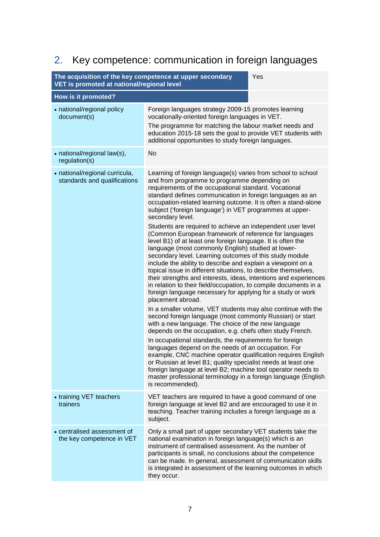# 2. Key competence: communication in foreign languages

| The acquisition of the key competence at upper secondary<br>Yes<br>VET is promoted at national/regional level |                                                                                                                                                                                                                                                                                                                                                                                                                                                                                                                                                                                                                                                                                                                                                                                                                                                                                                                                                                                                                                                                                                                                                                                                                                                                                                                                                                                                                                                                                                                                                                                                                              |  |
|---------------------------------------------------------------------------------------------------------------|------------------------------------------------------------------------------------------------------------------------------------------------------------------------------------------------------------------------------------------------------------------------------------------------------------------------------------------------------------------------------------------------------------------------------------------------------------------------------------------------------------------------------------------------------------------------------------------------------------------------------------------------------------------------------------------------------------------------------------------------------------------------------------------------------------------------------------------------------------------------------------------------------------------------------------------------------------------------------------------------------------------------------------------------------------------------------------------------------------------------------------------------------------------------------------------------------------------------------------------------------------------------------------------------------------------------------------------------------------------------------------------------------------------------------------------------------------------------------------------------------------------------------------------------------------------------------------------------------------------------------|--|
| How is it promoted?                                                                                           |                                                                                                                                                                                                                                                                                                                                                                                                                                                                                                                                                                                                                                                                                                                                                                                                                                                                                                                                                                                                                                                                                                                                                                                                                                                                                                                                                                                                                                                                                                                                                                                                                              |  |
| • national/regional policy<br>document(s)                                                                     | Foreign languages strategy 2009-15 promotes learning<br>vocationally-oriented foreign languages in VET.<br>The programme for matching the labour market needs and<br>education 2015-18 sets the goal to provide VET students with<br>additional opportunities to study foreign languages.                                                                                                                                                                                                                                                                                                                                                                                                                                                                                                                                                                                                                                                                                                                                                                                                                                                                                                                                                                                                                                                                                                                                                                                                                                                                                                                                    |  |
| • national/regional law(s),<br>regulation(s)                                                                  | <b>No</b>                                                                                                                                                                                                                                                                                                                                                                                                                                                                                                                                                                                                                                                                                                                                                                                                                                                                                                                                                                                                                                                                                                                                                                                                                                                                                                                                                                                                                                                                                                                                                                                                                    |  |
| • national/regional curricula,<br>standards and qualifications                                                | Learning of foreign language(s) varies from school to school<br>and from programme to programme depending on<br>requirements of the occupational standard. Vocational<br>standard defines communication in foreign languages as an<br>occupation-related learning outcome. It is often a stand-alone<br>subject ('foreign language') in VET programmes at upper-<br>secondary level.<br>Students are required to achieve an independent user level<br>(Common European framework of reference for languages<br>level B1) of at least one foreign language. It is often the<br>language (most commonly English) studied at lower-<br>secondary level. Learning outcomes of this study module<br>include the ability to describe and explain a viewpoint on a<br>topical issue in different situations, to describe themselves,<br>their strengths and interests, ideas, intentions and experiences<br>in relation to their field/occupation, to compile documents in a<br>foreign language necessary for applying for a study or work<br>placement abroad.<br>In a smaller volume, VET students may also continue with the<br>second foreign language (most commonly Russian) or start<br>with a new language. The choice of the new language<br>depends on the occupation, e.g. chefs often study French.<br>In occupational standards, the requirements for foreign<br>languages depend on the needs of an occupation. For<br>example, CNC machine operator qualification requires English<br>or Russian at level B1; quality specialist needs at least one<br>foreign language at level B2; machine tool operator needs to |  |
|                                                                                                               | master professional terminology in a foreign language (English<br>is recommended).                                                                                                                                                                                                                                                                                                                                                                                                                                                                                                                                                                                                                                                                                                                                                                                                                                                                                                                                                                                                                                                                                                                                                                                                                                                                                                                                                                                                                                                                                                                                           |  |
| • training VET teachers<br>trainers                                                                           | VET teachers are required to have a good command of one<br>foreign language at level B2 and are encouraged to use it in<br>teaching. Teacher training includes a foreign language as a<br>subject.                                                                                                                                                                                                                                                                                                                                                                                                                                                                                                                                                                                                                                                                                                                                                                                                                                                                                                                                                                                                                                                                                                                                                                                                                                                                                                                                                                                                                           |  |
| • centralised assessment of<br>the key competence in VET                                                      | Only a small part of upper secondary VET students take the<br>national examination in foreign language(s) which is an<br>instrument of centralised assessment. As the number of<br>participants is small, no conclusions about the competence<br>can be made. In general, assessment of communication skills<br>is integrated in assessment of the learning outcomes in which<br>they occur.                                                                                                                                                                                                                                                                                                                                                                                                                                                                                                                                                                                                                                                                                                                                                                                                                                                                                                                                                                                                                                                                                                                                                                                                                                 |  |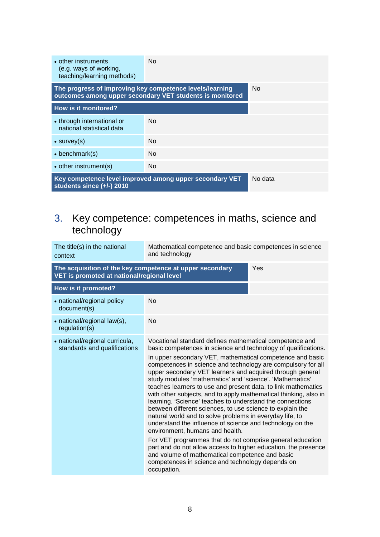| • other instruments<br>(e.g. ways of working,<br>teaching/learning methods)                     | No.                                                      |     |
|-------------------------------------------------------------------------------------------------|----------------------------------------------------------|-----|
| The progress of improving key competence levels/learning                                        | outcomes among upper secondary VET students is monitored | No. |
| How is it monitored?                                                                            |                                                          |     |
| • through international or<br>national statistical data                                         | No.                                                      |     |
| $\bullet$ survey(s)                                                                             | No.                                                      |     |
| $\bullet$ benchmark(s)                                                                          | N <sub>o</sub>                                           |     |
| • other instrument(s)                                                                           | No.                                                      |     |
| Key competence level improved among upper secondary VET<br>No data<br>students since (+/-) 2010 |                                                          |     |

#### <span id="page-6-0"></span>3. Key competence: competences in maths, science and technology

| The title(s) in the national<br>context                                                                | Mathematical competence and basic competences in science<br>and technology                                                                                                                                                                                                                                                                                                                                                                                                                                                                                                                                                                                                                                                                                                                                                                                                                                                                                                                                                                       |     |
|--------------------------------------------------------------------------------------------------------|--------------------------------------------------------------------------------------------------------------------------------------------------------------------------------------------------------------------------------------------------------------------------------------------------------------------------------------------------------------------------------------------------------------------------------------------------------------------------------------------------------------------------------------------------------------------------------------------------------------------------------------------------------------------------------------------------------------------------------------------------------------------------------------------------------------------------------------------------------------------------------------------------------------------------------------------------------------------------------------------------------------------------------------------------|-----|
| The acquisition of the key competence at upper secondary<br>VET is promoted at national/regional level |                                                                                                                                                                                                                                                                                                                                                                                                                                                                                                                                                                                                                                                                                                                                                                                                                                                                                                                                                                                                                                                  | Yes |
| How is it promoted?                                                                                    |                                                                                                                                                                                                                                                                                                                                                                                                                                                                                                                                                                                                                                                                                                                                                                                                                                                                                                                                                                                                                                                  |     |
| • national/regional policy<br>document(s)                                                              | <b>No</b>                                                                                                                                                                                                                                                                                                                                                                                                                                                                                                                                                                                                                                                                                                                                                                                                                                                                                                                                                                                                                                        |     |
| • national/regional law(s),<br>regularion(s)                                                           | <b>No</b>                                                                                                                                                                                                                                                                                                                                                                                                                                                                                                                                                                                                                                                                                                                                                                                                                                                                                                                                                                                                                                        |     |
| • national/regional curricula,<br>standards and qualifications                                         | Vocational standard defines mathematical competence and<br>basic competences in science and technology of qualifications.<br>In upper secondary VET, mathematical competence and basic<br>competences in science and technology are compulsory for all<br>upper secondary VET learners and acquired through general<br>study modules 'mathematics' and 'science'. 'Mathematics'<br>teaches learners to use and present data, to link mathematics<br>with other subjects, and to apply mathematical thinking, also in<br>learning. 'Science' teaches to understand the connections<br>between different sciences, to use science to explain the<br>natural world and to solve problems in everyday life, to<br>understand the influence of science and technology on the<br>environment, humans and health.<br>For VET programmes that do not comprise general education<br>part and do not allow access to higher education, the presence<br>and volume of mathematical competence and basic<br>competences in science and technology depends on |     |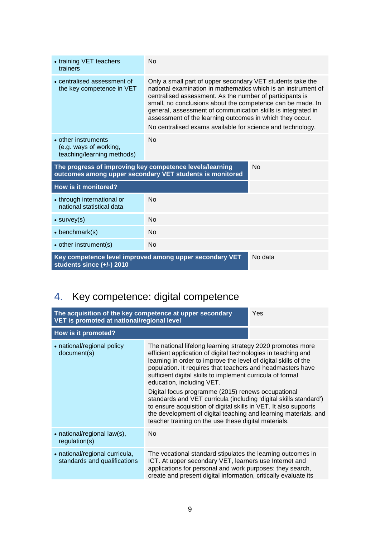| • training VET teachers<br>trainers                                         | <b>No</b>                                                                                                                                                                                                                                                                                                                                                                                                                                       |         |
|-----------------------------------------------------------------------------|-------------------------------------------------------------------------------------------------------------------------------------------------------------------------------------------------------------------------------------------------------------------------------------------------------------------------------------------------------------------------------------------------------------------------------------------------|---------|
| • centralised assessment of<br>the key competence in VET                    | Only a small part of upper secondary VET students take the<br>national examination in mathematics which is an instrument of<br>centralised assessment. As the number of participants is<br>small, no conclusions about the competence can be made. In<br>general, assessment of communication skills is integrated in<br>assessment of the learning outcomes in which they occur.<br>No centralised exams available for science and technology. |         |
| • other instruments<br>(e.g. ways of working,<br>teaching/learning methods) | <b>No</b>                                                                                                                                                                                                                                                                                                                                                                                                                                       |         |
| The progress of improving key competence levels/learning                    | outcomes among upper secondary VET students is monitored                                                                                                                                                                                                                                                                                                                                                                                        | No      |
| <b>How is it monitored?</b>                                                 |                                                                                                                                                                                                                                                                                                                                                                                                                                                 |         |
| • through international or<br>national statistical data                     | <b>No</b>                                                                                                                                                                                                                                                                                                                                                                                                                                       |         |
| $\bullet$ survey(s)                                                         | <b>No</b>                                                                                                                                                                                                                                                                                                                                                                                                                                       |         |
| $\bullet$ benchmark(s)                                                      | <b>No</b>                                                                                                                                                                                                                                                                                                                                                                                                                                       |         |
| • other instrument(s)                                                       | <b>No</b>                                                                                                                                                                                                                                                                                                                                                                                                                                       |         |
| students since (+/-) 2010                                                   | Key competence level improved among upper secondary VET                                                                                                                                                                                                                                                                                                                                                                                         | No data |

# <span id="page-7-0"></span>4. Key competence: digital competence

| The acquisition of the key competence at upper secondary<br>VET is promoted at national/regional level |                                                                                                                                                                                                                                                                                                                                                                                                                                                                                                                                                                                                                                                                                   | Yes |
|--------------------------------------------------------------------------------------------------------|-----------------------------------------------------------------------------------------------------------------------------------------------------------------------------------------------------------------------------------------------------------------------------------------------------------------------------------------------------------------------------------------------------------------------------------------------------------------------------------------------------------------------------------------------------------------------------------------------------------------------------------------------------------------------------------|-----|
| How is it promoted?                                                                                    |                                                                                                                                                                                                                                                                                                                                                                                                                                                                                                                                                                                                                                                                                   |     |
| • national/regional policy<br>document(s)                                                              | The national lifelong learning strategy 2020 promotes more<br>efficient application of digital technologies in teaching and<br>learning in order to improve the level of digital skills of the<br>population. It requires that teachers and headmasters have<br>sufficient digital skills to implement curricula of formal<br>education, including VET.<br>Digital focus programme (2015) renews occupational<br>standards and VET curricula (including 'digital skills standard')<br>to ensure acquisition of digital skills in VET. It also supports<br>the development of digital teaching and learning materials, and<br>teacher training on the use these digital materials. |     |
| • national/regional law(s),<br>regularion(s)                                                           | No.                                                                                                                                                                                                                                                                                                                                                                                                                                                                                                                                                                                                                                                                               |     |
| • national/regional curricula,<br>standards and qualifications                                         | The vocational standard stipulates the learning outcomes in<br>ICT. At upper secondary VET, learners use Internet and<br>applications for personal and work purposes: they search,<br>create and present digital information, critically evaluate its                                                                                                                                                                                                                                                                                                                                                                                                                             |     |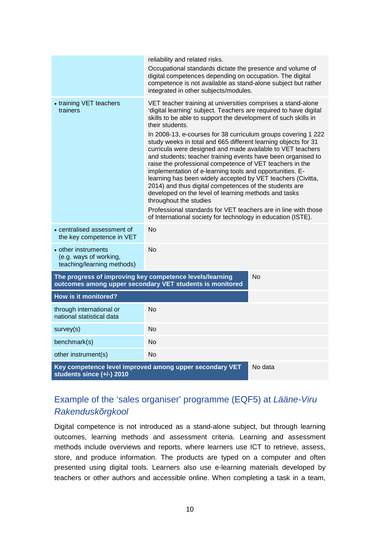|                                                                                                 | reliability and related risks.<br>Occupational standards dictate the presence and volume of<br>digital competences depending on occupation. The digital<br>competence is not available as stand-alone subject but rather<br>integrated in other subjects/modules.                                                                                                                                                                                                                                                                                                                                                                                                                                                                                                                                                                                                                                                                                            |    |
|-------------------------------------------------------------------------------------------------|--------------------------------------------------------------------------------------------------------------------------------------------------------------------------------------------------------------------------------------------------------------------------------------------------------------------------------------------------------------------------------------------------------------------------------------------------------------------------------------------------------------------------------------------------------------------------------------------------------------------------------------------------------------------------------------------------------------------------------------------------------------------------------------------------------------------------------------------------------------------------------------------------------------------------------------------------------------|----|
| • training VET teachers<br>trainers                                                             | VET teacher training at universities comprises a stand-alone<br>'digital learning' subject. Teachers are required to have digital<br>skills to be able to support the development of such skills in<br>their students.<br>In 2008-13, e-courses for 38 curriculum groups covering 1 222<br>study weeks in total and 665 different learning objects for 31<br>curricula were designed and made available to VET teachers<br>and students; teacher training events have been organised to<br>raise the professional competence of VET teachers in the<br>implementation of e-learning tools and opportunities. E-<br>learning has been widely accepted by VET teachers (Civitta,<br>2014) and thus digital competences of the students are<br>developed on the level of learning methods and tasks<br>throughout the studies<br>Professional standards for VET teachers are in line with those<br>of International society for technology in education (ISTE). |    |
| • centralised assessment of<br>the key competence in VET                                        | <b>No</b>                                                                                                                                                                                                                                                                                                                                                                                                                                                                                                                                                                                                                                                                                                                                                                                                                                                                                                                                                    |    |
| • other instruments<br>(e.g. ways of working,<br>teaching/learning methods)                     | Nο                                                                                                                                                                                                                                                                                                                                                                                                                                                                                                                                                                                                                                                                                                                                                                                                                                                                                                                                                           |    |
| The progress of improving key competence levels/learning                                        | outcomes among upper secondary VET students is monitored                                                                                                                                                                                                                                                                                                                                                                                                                                                                                                                                                                                                                                                                                                                                                                                                                                                                                                     | No |
| <b>How is it monitored?</b>                                                                     |                                                                                                                                                                                                                                                                                                                                                                                                                                                                                                                                                                                                                                                                                                                                                                                                                                                                                                                                                              |    |
| through international or<br>national statistical data                                           | No                                                                                                                                                                                                                                                                                                                                                                                                                                                                                                                                                                                                                                                                                                                                                                                                                                                                                                                                                           |    |
| survey(s)                                                                                       | No                                                                                                                                                                                                                                                                                                                                                                                                                                                                                                                                                                                                                                                                                                                                                                                                                                                                                                                                                           |    |
| benchmark(s)                                                                                    | No                                                                                                                                                                                                                                                                                                                                                                                                                                                                                                                                                                                                                                                                                                                                                                                                                                                                                                                                                           |    |
| other instrument(s)                                                                             | <b>No</b>                                                                                                                                                                                                                                                                                                                                                                                                                                                                                                                                                                                                                                                                                                                                                                                                                                                                                                                                                    |    |
| Key competence level improved among upper secondary VET<br>No data<br>students since (+/-) 2010 |                                                                                                                                                                                                                                                                                                                                                                                                                                                                                                                                                                                                                                                                                                                                                                                                                                                                                                                                                              |    |

### Example of the 'sales organiser' programme (EQF5) at *Lääne-Viru Rakenduskõrgkool*

Digital competence is not introduced as a stand-alone subject, but through learning outcomes, learning methods and assessment criteria. Learning and assessment methods include overviews and reports, where learners use ICT to retrieve, assess, store, and produce information. The products are typed on a computer and often presented using digital tools. Learners also use e-learning materials developed by teachers or other authors and accessible online. When completing a task in a team,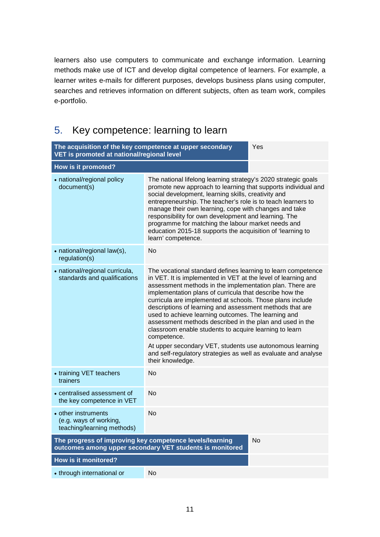learners also use computers to communicate and exchange information. Learning methods make use of ICT and develop digital competence of learners. For example, a learner writes e-mails for different purposes, develops business plans using computer, searches and retrieves information on different subjects, often as team work, compiles e-portfolio.

#### **The acquisition of the key competence at upper secondary VET is promoted at national/regional level** Yes **How is it promoted?**  • national/regional policy document(s) The national lifelong learning strategy's 2020 strategic goals promote new approach to learning that supports individual and social development, learning skills, creativity and entrepreneurship. The teacher's role is to teach learners to manage their own learning, cope with changes and take responsibility for own development and learning. The programme for matching the labour market needs and education 2015-18 supports the acquisition of 'learning to learn' competence. • national/regional law(s), regulation(s) No • national/regional curricula, standards and qualifications The vocational standard defines learning to learn competence in VET. It is implemented in VET at the level of learning and assessment methods in the implementation plan. There are implementation plans of curricula that describe how the curricula are implemented at schools. Those plans include descriptions of learning and assessment methods that are used to achieve learning outcomes. The learning and assessment methods described in the plan and used in the classroom enable students to acquire learning to learn competence. At upper secondary VET, students use autonomous learning and self-regulatory strategies as well as evaluate and analyse their knowledge. • training VET teachers trainers  $N<sub>0</sub>$ • centralised assessment of the key competence in VET No • other instruments (e.g. ways of working, teaching/learning methods) No **The progress of improving key competence levels/learning outcomes among upper secondary VET students is monitored**  No **How is it monitored?** • through international or No

### <span id="page-9-0"></span>5. Key competence: learning to learn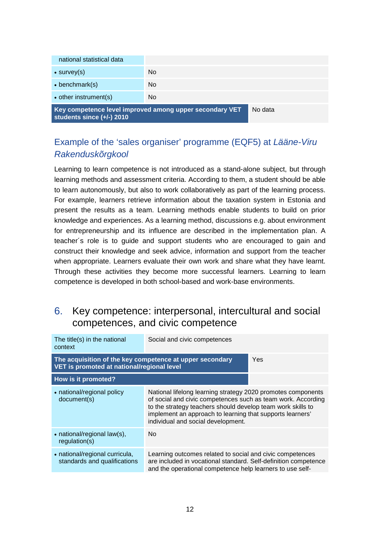| national statistical data |                                                         |         |
|---------------------------|---------------------------------------------------------|---------|
| $\bullet$ survey(s)       | No.                                                     |         |
| $\bullet$ benchmark(s)    | No.                                                     |         |
| • other instrument(s)     | No.                                                     |         |
|                           | Key competence level improved among upper secondary VET | No data |

**Key competence level improved among upper secondary VET students since (+/-) 2010** 

#### Example of the 'sales organiser' programme (EQF5) at *Lääne-Viru Rakenduskõrgkool*

Learning to learn competence is not introduced as a stand-alone subject, but through learning methods and assessment criteria. According to them, a student should be able to learn autonomously, but also to work collaboratively as part of the learning process. For example, learners retrieve information about the taxation system in Estonia and present the results as a team. Learning methods enable students to build on prior knowledge and experiences. As a learning method, discussions e.g. about environment for entrepreneurship and its influence are described in the implementation plan. A teacher´s role is to guide and support students who are encouraged to gain and construct their knowledge and seek advice, information and support from the teacher when appropriate. Learners evaluate their own work and share what they have learnt. Through these activities they become more successful learners. Learning to learn competence is developed in both school-based and work-base environments.

#### <span id="page-10-0"></span>6. Key competence: interpersonal, intercultural and social competences, and civic competence

| The title(s) in the national<br>context                                                                | Social and civic competences                                                                                                                                                                                                                                                                   |     |
|--------------------------------------------------------------------------------------------------------|------------------------------------------------------------------------------------------------------------------------------------------------------------------------------------------------------------------------------------------------------------------------------------------------|-----|
| The acquisition of the key competence at upper secondary<br>VET is promoted at national/regional level |                                                                                                                                                                                                                                                                                                | Yes |
| How is it promoted?                                                                                    |                                                                                                                                                                                                                                                                                                |     |
| • national/regional policy<br>document(s)                                                              | National lifelong learning strategy 2020 promotes components<br>of social and civic competences such as team work. According<br>to the strategy teachers should develop team work skills to<br>implement an approach to learning that supports learners'<br>individual and social development. |     |
| • national/regional law(s),<br>regularion(s)                                                           | No                                                                                                                                                                                                                                                                                             |     |
| • national/regional curricula,<br>standards and qualifications                                         | Learning outcomes related to social and civic competences<br>are included in vocational standard. Self-definition competence<br>and the operational competence help learners to use self-                                                                                                      |     |
|                                                                                                        |                                                                                                                                                                                                                                                                                                |     |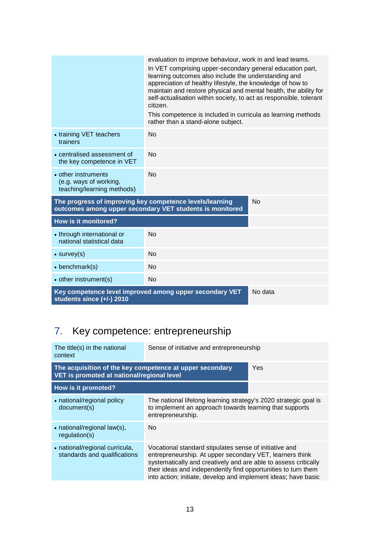|                                                                                                                                   | evaluation to improve behaviour, work in and lead teams.<br>In VET comprising upper-secondary general education part,<br>learning outcomes also include the understanding and<br>appreciation of healthy lifestyle, the knowledge of how to<br>maintain and restore physical and mental health, the ability for<br>self-actualisation within society, to act as responsible, tolerant<br>citizen.<br>This competence is included in curricula as learning methods<br>rather than a stand-alone subject. |  |
|-----------------------------------------------------------------------------------------------------------------------------------|---------------------------------------------------------------------------------------------------------------------------------------------------------------------------------------------------------------------------------------------------------------------------------------------------------------------------------------------------------------------------------------------------------------------------------------------------------------------------------------------------------|--|
| • training VET teachers<br>trainers                                                                                               | <b>No</b>                                                                                                                                                                                                                                                                                                                                                                                                                                                                                               |  |
| • centralised assessment of<br>the key competence in VET                                                                          | <b>No</b>                                                                                                                                                                                                                                                                                                                                                                                                                                                                                               |  |
| • other instruments<br>(e.g. ways of working,<br>teaching/learning methods)                                                       | No                                                                                                                                                                                                                                                                                                                                                                                                                                                                                                      |  |
| The progress of improving key competence levels/learning<br><b>No</b><br>outcomes among upper secondary VET students is monitored |                                                                                                                                                                                                                                                                                                                                                                                                                                                                                                         |  |
| <b>How is it monitored?</b>                                                                                                       |                                                                                                                                                                                                                                                                                                                                                                                                                                                                                                         |  |
| • through international or<br>national statistical data                                                                           | No                                                                                                                                                                                                                                                                                                                                                                                                                                                                                                      |  |
| $\bullet$ survey(s)                                                                                                               | <b>No</b>                                                                                                                                                                                                                                                                                                                                                                                                                                                                                               |  |
| $\bullet$ benchmark(s)                                                                                                            | No                                                                                                                                                                                                                                                                                                                                                                                                                                                                                                      |  |
| • other instrument(s)                                                                                                             | <b>No</b>                                                                                                                                                                                                                                                                                                                                                                                                                                                                                               |  |
| Key competence level improved among upper secondary VET<br>No data<br>students since (+/-) 2010                                   |                                                                                                                                                                                                                                                                                                                                                                                                                                                                                                         |  |

# <span id="page-11-0"></span>7. Key competence: entrepreneurship

| The title(s) in the national<br>context                                                                       | Sense of initiative and entrepreneurship                                                                                                                                                                                                                                                                                 |  |
|---------------------------------------------------------------------------------------------------------------|--------------------------------------------------------------------------------------------------------------------------------------------------------------------------------------------------------------------------------------------------------------------------------------------------------------------------|--|
| The acquisition of the key competence at upper secondary<br>Yes<br>VET is promoted at national/regional level |                                                                                                                                                                                                                                                                                                                          |  |
| How is it promoted?                                                                                           |                                                                                                                                                                                                                                                                                                                          |  |
| • national/regional policy<br>document(s)                                                                     | The national lifelong learning strategy's 2020 strategic goal is<br>to implement an approach towards learning that supports<br>entrepreneurship.                                                                                                                                                                         |  |
| • national/regional law(s),<br>regularion(s)                                                                  | No.                                                                                                                                                                                                                                                                                                                      |  |
| • national/regional curricula,<br>standards and qualifications                                                | Vocational standard stipulates sense of initiative and<br>entrepreneurship. At upper secondary VET, learners think<br>systematically and creatively and are able to assess critically<br>their ideas and independently find opportunities to turn them<br>into action; initiate, develop and implement ideas; have basic |  |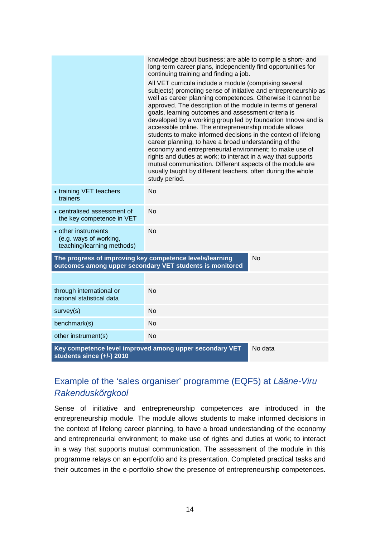|                                                                                                                                   | knowledge about business; are able to compile a short- and<br>long-term career plans, independently find opportunities for<br>continuing training and finding a job.<br>All VET curricula include a module (comprising several<br>subjects) promoting sense of initiative and entrepreneurship as<br>well as career planning competences. Otherwise it cannot be<br>approved. The description of the module in terms of general<br>goals, learning outcomes and assessment criteria is<br>developed by a working group led by foundation Innove and is<br>accessible online. The entrepreneurship module allows<br>students to make informed decisions in the context of lifelong<br>career planning, to have a broad understanding of the<br>economy and entrepreneurial environment; to make use of<br>rights and duties at work; to interact in a way that supports<br>mutual communication. Different aspects of the module are<br>usually taught by different teachers, often during the whole<br>study period. |         |  |  |
|-----------------------------------------------------------------------------------------------------------------------------------|----------------------------------------------------------------------------------------------------------------------------------------------------------------------------------------------------------------------------------------------------------------------------------------------------------------------------------------------------------------------------------------------------------------------------------------------------------------------------------------------------------------------------------------------------------------------------------------------------------------------------------------------------------------------------------------------------------------------------------------------------------------------------------------------------------------------------------------------------------------------------------------------------------------------------------------------------------------------------------------------------------------------|---------|--|--|
| • training VET teachers<br>trainers                                                                                               | <b>No</b>                                                                                                                                                                                                                                                                                                                                                                                                                                                                                                                                                                                                                                                                                                                                                                                                                                                                                                                                                                                                            |         |  |  |
| • centralised assessment of<br>the key competence in VET                                                                          | <b>No</b>                                                                                                                                                                                                                                                                                                                                                                                                                                                                                                                                                                                                                                                                                                                                                                                                                                                                                                                                                                                                            |         |  |  |
| • other instruments<br>(e.g. ways of working,<br>teaching/learning methods)                                                       | <b>No</b>                                                                                                                                                                                                                                                                                                                                                                                                                                                                                                                                                                                                                                                                                                                                                                                                                                                                                                                                                                                                            |         |  |  |
| The progress of improving key competence levels/learning<br><b>No</b><br>outcomes among upper secondary VET students is monitored |                                                                                                                                                                                                                                                                                                                                                                                                                                                                                                                                                                                                                                                                                                                                                                                                                                                                                                                                                                                                                      |         |  |  |
|                                                                                                                                   |                                                                                                                                                                                                                                                                                                                                                                                                                                                                                                                                                                                                                                                                                                                                                                                                                                                                                                                                                                                                                      |         |  |  |
| through international or<br>national statistical data                                                                             | <b>No</b>                                                                                                                                                                                                                                                                                                                                                                                                                                                                                                                                                                                                                                                                                                                                                                                                                                                                                                                                                                                                            |         |  |  |
| survey(s)                                                                                                                         | <b>No</b>                                                                                                                                                                                                                                                                                                                                                                                                                                                                                                                                                                                                                                                                                                                                                                                                                                                                                                                                                                                                            |         |  |  |
| benchmark(s)                                                                                                                      | <b>No</b>                                                                                                                                                                                                                                                                                                                                                                                                                                                                                                                                                                                                                                                                                                                                                                                                                                                                                                                                                                                                            |         |  |  |
| other instrument(s)                                                                                                               | <b>No</b>                                                                                                                                                                                                                                                                                                                                                                                                                                                                                                                                                                                                                                                                                                                                                                                                                                                                                                                                                                                                            |         |  |  |
| Key competence level improved among upper secondary VET<br>students since (+/-) 2010                                              |                                                                                                                                                                                                                                                                                                                                                                                                                                                                                                                                                                                                                                                                                                                                                                                                                                                                                                                                                                                                                      | No data |  |  |

#### Example of the 'sales organiser' programme (EQF5) at *Lääne-Viru Rakenduskõrgkool*

Sense of initiative and entrepreneurship competences are introduced in the entrepreneurship module. The module allows students to make informed decisions in the context of lifelong career planning, to have a broad understanding of the economy and entrepreneurial environment; to make use of rights and duties at work; to interact in a way that supports mutual communication. The assessment of the module in this programme relays on an e-portfolio and its presentation. Completed practical tasks and their outcomes in the e-portfolio show the presence of entrepreneurship competences.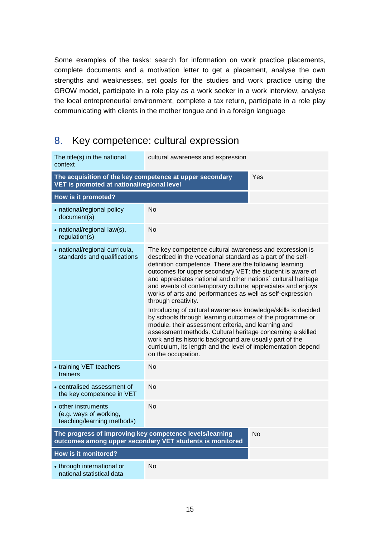Some examples of the tasks: search for information on work practice placements, complete documents and a motivation letter to get a placement, analyse the own strengths and weaknesses, set goals for the studies and work practice using the GROW model, participate in a role play as a work seeker in a work interview, analyse the local entrepreneurial environment, complete a tax return, participate in a role play communicating with clients in the mother tongue and in a foreign language

## <span id="page-13-0"></span>8. Key competence: cultural expression

| The title(s) in the national<br>context                                                                                    | cultural awareness and expression                                                                                                                                                                                                                                                                                                                                                                                                                                                                                                                                                                                                                                                                                                                                                                                                                                      |  |  |  |
|----------------------------------------------------------------------------------------------------------------------------|------------------------------------------------------------------------------------------------------------------------------------------------------------------------------------------------------------------------------------------------------------------------------------------------------------------------------------------------------------------------------------------------------------------------------------------------------------------------------------------------------------------------------------------------------------------------------------------------------------------------------------------------------------------------------------------------------------------------------------------------------------------------------------------------------------------------------------------------------------------------|--|--|--|
| The acquisition of the key competence at upper secondary<br>Yes<br>VET is promoted at national/regional level              |                                                                                                                                                                                                                                                                                                                                                                                                                                                                                                                                                                                                                                                                                                                                                                                                                                                                        |  |  |  |
| How is it promoted?                                                                                                        |                                                                                                                                                                                                                                                                                                                                                                                                                                                                                                                                                                                                                                                                                                                                                                                                                                                                        |  |  |  |
| • national/regional policy<br>document(s)                                                                                  | No                                                                                                                                                                                                                                                                                                                                                                                                                                                                                                                                                                                                                                                                                                                                                                                                                                                                     |  |  |  |
| • national/regional law(s),<br>regulation(s)                                                                               | <b>No</b>                                                                                                                                                                                                                                                                                                                                                                                                                                                                                                                                                                                                                                                                                                                                                                                                                                                              |  |  |  |
| • national/regional curricula,<br>standards and qualifications                                                             | The key competence cultural awareness and expression is<br>described in the vocational standard as a part of the self-<br>definition competence. There are the following learning<br>outcomes for upper secondary VET: the student is aware of<br>and appreciates national and other nations' cultural heritage<br>and events of contemporary culture; appreciates and enjoys<br>works of arts and performances as well as self-expression<br>through creativity.<br>Introducing of cultural awareness knowledge/skills is decided<br>by schools through learning outcomes of the programme or<br>module, their assessment criteria, and learning and<br>assessment methods. Cultural heritage concerning a skilled<br>work and its historic background are usually part of the<br>curriculum, its length and the level of implementation depend<br>on the occupation. |  |  |  |
| • training VET teachers<br>trainers                                                                                        | No                                                                                                                                                                                                                                                                                                                                                                                                                                                                                                                                                                                                                                                                                                                                                                                                                                                                     |  |  |  |
| • centralised assessment of<br>the key competence in VET                                                                   | No                                                                                                                                                                                                                                                                                                                                                                                                                                                                                                                                                                                                                                                                                                                                                                                                                                                                     |  |  |  |
| • other instruments<br>(e.g. ways of working,<br>teaching/learning methods)                                                | <b>No</b>                                                                                                                                                                                                                                                                                                                                                                                                                                                                                                                                                                                                                                                                                                                                                                                                                                                              |  |  |  |
| The progress of improving key competence levels/learning<br>No<br>outcomes among upper secondary VET students is monitored |                                                                                                                                                                                                                                                                                                                                                                                                                                                                                                                                                                                                                                                                                                                                                                                                                                                                        |  |  |  |
| How is it monitored?                                                                                                       |                                                                                                                                                                                                                                                                                                                                                                                                                                                                                                                                                                                                                                                                                                                                                                                                                                                                        |  |  |  |
| • through international or<br>national statistical data                                                                    | No                                                                                                                                                                                                                                                                                                                                                                                                                                                                                                                                                                                                                                                                                                                                                                                                                                                                     |  |  |  |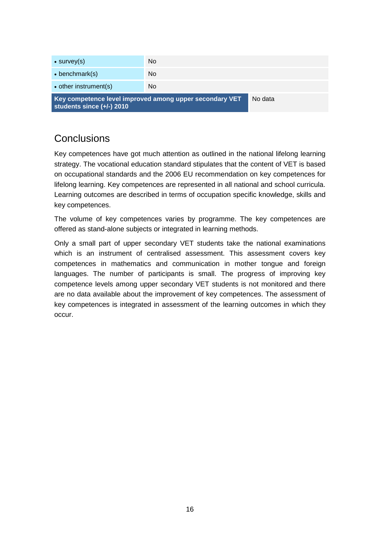| Key competence level improved among upper secondary VET<br>students since $(+/-)$ 2010 |     | No data |
|----------------------------------------------------------------------------------------|-----|---------|
| • other instrument(s)                                                                  | No. |         |
| $\bullet$ benchmark(s)                                                                 | No. |         |
| $\bullet$ survey(s)                                                                    | No. |         |
|                                                                                        |     |         |

## <span id="page-14-0"></span>**Conclusions**

Key competences have got much attention as outlined in the national lifelong learning strategy. The vocational education standard stipulates that the content of VET is based on occupational standards and the 2006 EU recommendation on key competences for lifelong learning. Key competences are represented in all national and school curricula. Learning outcomes are described in terms of occupation specific knowledge, skills and key competences.

The volume of key competences varies by programme. The key competences are offered as stand-alone subjects or integrated in learning methods.

Only a small part of upper secondary VET students take the national examinations which is an instrument of centralised assessment. This assessment covers key competences in mathematics and communication in mother tongue and foreign languages. The number of participants is small. The progress of improving key competence levels among upper secondary VET students is not monitored and there are no data available about the improvement of key competences. The assessment of key competences is integrated in assessment of the learning outcomes in which they occur.